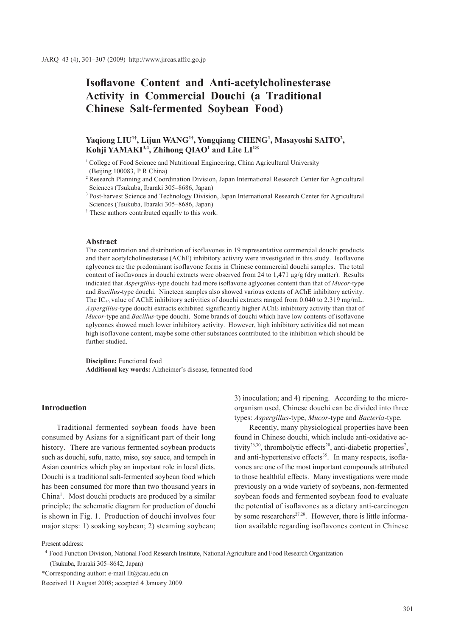# **Isoflavone Content and Anti-acetylcholinesterase Activity in Commercial Douchi (a Traditional Chinese Salt-fermented Soybean Food)**

# Yaqiong LIU<sup>1†</sup>, Lijun WANG<sup>1†</sup>, Yongqiang CHENG<sup>1</sup>, Masayoshi SAITO<sup>2</sup>, **Kohji YAMAKI3,4, Zhihong QIAO1 and Lite LI1\***

<sup>1</sup> College of Food Science and Nutritional Engineering, China Agricultural University (Beijing 100083, P R China)

<sup>2</sup> Research Planning and Coordination Division, Japan International Research Center for Agricultural Sciences (Tsukuba, Ibaraki 305–8686, Japan)

<sup>3</sup> Post-harvest Science and Technology Division, Japan International Research Center for Agricultural Sciences (Tsukuba, Ibaraki 305–8686, Japan)

† These authors contributed equally to this work.

#### **Abstract**

The concentration and distribution of isoflavones in 19 representative commercial douchi products and their acetylcholinesterase (AChE) inhibitory activity were investigated in this study. Isoflavone aglycones are the predominant isoflavone forms in Chinese commercial douchi samples. The total content of isoflavones in douchi extracts were observed from 24 to 1,471 μg/g (dry matter). Results indicated that *Aspergillus*-type douchi had more isoflavone aglycones content than that of *Mucor*-type and *Bacillus*-type douchi. Nineteen samples also showed various extents of AChE inhibitory activity. The IC<sub>50</sub> value of AChE inhibitory activities of douchi extracts ranged from 0.040 to 2.319 mg/mL. *Aspergillus*-type douchi extracts exhibited significantly higher AChE inhibitory activity than that of *Mucor*-type and *Bacillus*-type douchi. Some brands of douchi which have low contents of isoflavone aglycones showed much lower inhibitory activity. However, high inhibitory activities did not mean high isoflavone content, maybe some other substances contributed to the inhibition which should be further studied.

**Discipline:** Functional food **Additional key words:** Alzheimer's disease, fermented food

#### **Introduction**

Traditional fermented soybean foods have been consumed by Asians for a significant part of their long history. There are various fermented soybean products such as douchi, sufu, natto, miso, soy sauce, and tempeh in Asian countries which play an important role in local diets. Douchi is a traditional salt-fermented soybean food which has been consumed for more than two thousand years in China<sup>1</sup>. Most douchi products are produced by a similar principle; the schematic diagram for production of douchi is shown in Fig. 1. Production of douchi involves four major steps: 1) soaking soybean; 2) steaming soybean;

3) inoculation; and 4) ripening. According to the microorganism used, Chinese douchi can be divided into three types: *Aspergillus*-type, *Mucor*-type and *Bacteria*-type.

Recently, many physiological properties have been found in Chinese douchi, which include anti-oxidative activity<sup>26,30</sup>, thrombolytic effects<sup>20</sup>, anti-diabetic properties<sup>2</sup>, and anti-hypertensive effects<sup>35</sup>. In many respects, isoflavones are one of the most important compounds attributed to those healthful effects. Many investigations were made previously on a wide variety of soybeans, non-fermented soybean foods and fermented soybean food to evaluate the potential of isoflavones as a dietary anti-carcinogen by some researchers $27,28$ . However, there is little information available regarding isoflavones content in Chinese

Present address:

<sup>4</sup> Food Function Division, National Food Research Institute, National Agriculture and Food Research Organization (Tsukuba, Ibaraki 305–8642, Japan)

<sup>\*</sup>Corresponding author: e-mail llt@cau.edu.cn

Received 11 August 2008; accepted 4 January 2009.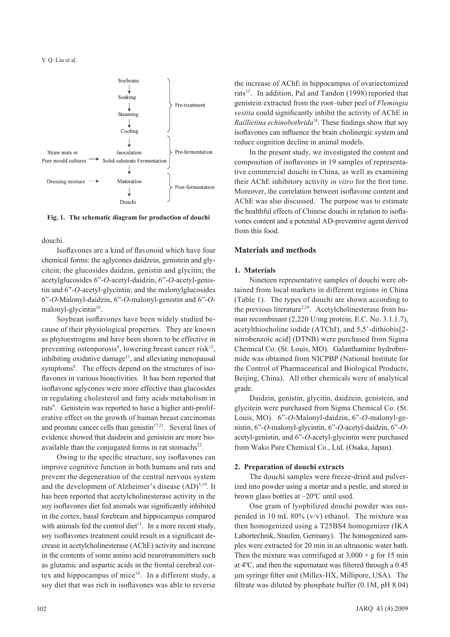Y. Q. Liu et al.



**Fig. 1. The schematic diagram for production of douchi**

douchi.

Isoflavones are a kind of flavonoid which have four chemical forms: the aglycones daidzein, genistein and glycitein; the glucosides daidzin, genistin and glycitin; the acetylglucosides 6"-*Ο*-acetyl-daidzin, 6"-*Ο*-acetyl-genistin and 6"-*Ο*-acetyl-glycintin; and the malonylglucosides 6"-*Ο*-Malonyl-daidzin, 6"-*Ο*-malonyl-genistin and 6"-*Ο*malonyl-glycintin $10$ .

Soybean isoflavones have been widely studied because of their physiological properties. They are known as phytoestrogens and have been shown to be effective in preventing osteoporosis<sup>8</sup>, lowering breast cancer risk<sup>12</sup>, inhibiting oxidative damage $11$ , and alleviating menopausal symptoms<sup>8</sup>. The effects depend on the structures of isoflavones in various bioactivities. It has been reported that isoflavone aglycones were more effective than glucosides in regulating cholesterol and fatty acids metabolism in rats<sup>9</sup>. Genistein was reported to have a higher anti-proliferative effect on the growth of human breast carcinomas and prostate cancer cells than genistin $17,21$ . Several lines of evidence showed that daidzein and genistein are more bioavailable than the conjugated forms in rat stomachs<sup>22</sup>.

Owing to the specific structure, soy isoflavones can improve cognitive function in both humans and rats and prevent the degeneration of the central nervous system and the development of Alzheimer's disease  $(AD)^{5,19}$ . It has been reported that acetylcholinesterase activity in the soy isoflavones diet fed animals was significantly inhibited in the cortex, basal forebrain and hippocampus compared with animals fed the control diet<sup>13</sup>. In a more recent study, soy isoflavones treatment could result in a significant decrease in acetylcholinesterase (AChE) activity and increase in the contents of some amino acid neurotransmitters such as glutamic and aspartic acids in the frontal cerebral cortex and hippocampus of mice<sup>14</sup>. In a different study, a soy diet that was rich in isoflavones was able to reverse the increase of AChE in hippocampus of ovariectomized rats<sup>15</sup>. In addition, Pal and Tandon (1998) reported that genistein extracted from the root–tuber peel of *Flemingia vestita* could significantly inhibit the activity of AChE in *Raillietina echinobothrida*18. These findings show that soy isoflavones can influence the brain cholinergic system and reduce cognition decline in animal models.

In the present study, we investigated the content and composition of isoflavones in 19 samples of representative commercial douchi in China, as well as examining their AChE inhibitory activity *in vitro* for the first time. Moreover, the correlation between isoflavone content and AChE was also discussed. The purpose was to estimate the healthful effects of Chinese douchi in relation to isoflavones content and a potential AD-preventive agent derived from this food.

#### **Materials and methods**

## **1. Materials**

Nineteen representative samples of douchi were obtained from local markets in different regions in China (Table 1). The types of douchi are shown according to the previous literature<sup>2,29</sup>. Acetylcholinesterase from human recombinant (2,220 U/mg protein, E.C. No. 3.1.1.7), acetylthiocholine iodide (ATChI), and 5,5'-dithiobis[2 nitrobenzoic acid] (DTNB) were purchased from Sigma Chemical Co. (St. Louis, MO). Galanthamine hydrobromide was obtained from NICPBP (National Institute for the Control of Pharmaceutical and Biological Products, Beijing, China). All other chemicals were of analytical grade.

Daidzin, genistin, glycitin, daidzein, genistein, and glycitein were purchased from Sigma Chemical Co. (St. Louis, MO). 6"-*Ο*-Malonyl-daidzin, 6"-*Ο*-malonyl-genistin, 6"-*Ο*-malonyl-glycintin, 6"-*Ο*-acetyl-daidzin, 6"-*Ο*acetyl-genistin, and 6"-*Ο*-acetyl-glycintin were purchased from Wako Pure Chemical Co., Ltd. (Osaka, Japan).

## **2. Preparation of douchi extracts**

The douchi samples were freeze-dried and pulverized into powder using a mortar and a pestle, and stored in brown glass bottles at –20ºC until used.

One gram of lyophilized douchi powder was suspended in 10 mL  $80\%$  (v/v) ethanol. The mixture was then homogenized using a T25BS4 homogenizer (IKA Labortechnik, Staufen, Germany). The homogenized samples were extracted for 20 min in an ultrasonic water bath. Then the mixture was centrifuged at  $3,000 \times g$  for 15 min at 4ºC, and then the supernatant was filtered through a 0.45 μm syringe filter unit (Millex-HX, Millipore, USA). The filtrate was diluted by phosphate buffer (0.1M, pH 8.04)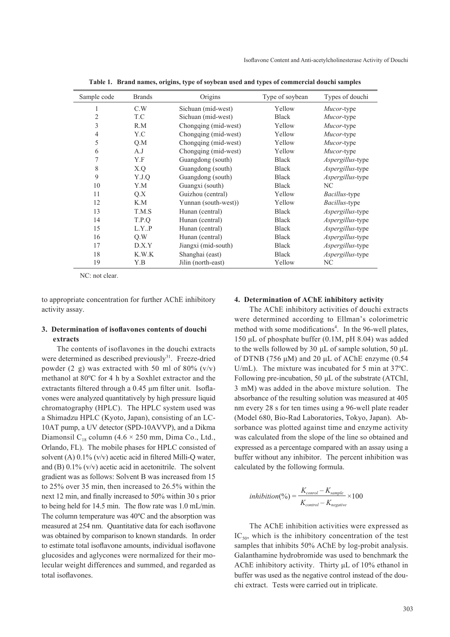| Sample code    | <b>Brands</b> | Origins              | Type of soybean | Types of douchi         |
|----------------|---------------|----------------------|-----------------|-------------------------|
|                | C.W           | Sichuan (mid-west)   | Yellow          | Mucor-type              |
| $\overline{2}$ | T.C           | Sichuan (mid-west)   | <b>Black</b>    | Mucor-type              |
| 3              | R.M           | Chongqing (mid-west) | Yellow          | Mucor-type              |
| $\overline{4}$ | Y.C           | Chongqing (mid-west) | Yellow          | Mucor-type              |
| 5              | Q.M           | Chongqing (mid-west) | Yellow          | Mucor-type              |
| 6              | A.J           | Chongqing (mid-west) | Yellow          | Mucor-type              |
| 7              | Y.F           | Guangdong (south)    | <b>Black</b>    | Aspergillus-type        |
| 8              | X.Q           | Guangdong (south)    | <b>Black</b>    | Aspergillus-type        |
| 9              | Y.J.O         | Guangdong (south)    | <b>Black</b>    | <i>Aspergillus-type</i> |
| 10             | Y.M           | Guangxi (south)      | <b>Black</b>    | NC.                     |
| 11             | Q.X           | Guizhou (central)    | Yellow          | Bacillus-type           |
| 12             | K.M           | Yunnan (south-west)) | Yellow          | <i>Bacillus</i> -type   |
| 13             | T.M.S         | Hunan (central)      | <b>Black</b>    | Aspergillus-type        |
| 14             | T.P.O         | Hunan (central)      | <b>Black</b>    | <i>Aspergillus-type</i> |
| 15             | L.Y.P         | Hunan (central)      | <b>Black</b>    | Aspergillus-type        |
| 16             | O.W           | Hunan (central)      | <b>Black</b>    | Aspergillus-type        |
| 17             | D.X.Y         | Jiangxi (mid-south)  | <b>Black</b>    | Aspergillus-type        |
| 18             | K.W.K         | Shanghai (east)      | <b>Black</b>    | <i>Aspergillus-type</i> |
| 19             | Y.B           | Jilin (north-east)   | Yellow          | NC                      |

**Table 1. Brand names, origins, type of soybean used and types of commercial douchi samples**

NC: not clear.

to appropriate concentration for further AChE inhibitory activity assay.

# **3. Determination of isoflavones contents of douchi extracts**

The contents of isoflavones in the douchi extracts were determined as described previously $3<sup>1</sup>$ . Freeze-dried powder (2 g) was extracted with 50 ml of 80%  $(v/v)$ methanol at 80ºC for 4 h by a Soxhlet extractor and the extractants filtered through a 0.45 μm filter unit. Isoflavones were analyzed quantitatively by high pressure liquid chromatography (HPLC). The HPLC system used was a Shimadzu HPLC (Kyoto, Japan), consisting of an LC-10AT pump, a UV detector (SPD-10AVVP), and a Dikma Diamonsil C<sub>18</sub> column (4.6  $\times$  250 mm, Dima Co., Ltd., Orlando, FL). The mobile phases for HPLC consisted of solvent (A) 0.1% (v/v) acetic acid in filtered Milli-Q water, and (B)  $0.1\%$  (v/v) acetic acid in acetonitrile. The solvent gradient was as follows: Solvent B was increased from 15 to 25% over 35 min, then increased to 26.5% within the next 12 min, and finally increased to 50% within 30 s prior to being held for 14.5 min. The flow rate was 1.0 mL/min. The column temperature was 40ºC and the absorption was measured at 254 nm. Quantitative data for each isoflavone was obtained by comparison to known standards. In order to estimate total isoflavone amounts, individual isoflavone glucosides and aglycones were normalized for their molecular weight differences and summed, and regarded as total isoflavones.

## **4. Determination of AChE inhibitory activity**

The AChE inhibitory activities of douchi extracts were determined according to Ellman's colorimetric method with some modifications<sup>4</sup>. In the 96-well plates, 150 μL of phosphate buffer (0.1M, pH 8.04) was added to the wells followed by 30 μL of sample solution, 50 μL of DTNB (756 μM) and 20 μL of AChE enzyme (0.54 U/mL). The mixture was incubated for 5 min at 37ºC. Following pre-incubation, 50 μL of the substrate (ATChI, 3 mM) was added in the above mixture solution. The absorbance of the resulting solution was measured at 405 nm every 28 s for ten times using a 96-well plate reader (Model 680, Bio-Rad Laboratories, Tokyo, Japan). Absorbance was plotted against time and enzyme activity was calculated from the slope of the line so obtained and expressed as a percentage compared with an assay using a buffer without any inhibitor. The percent inhibition was calculated by the following formula.

$$
inhibition(\%) = \frac{K_{control} - K_{sample}}{K_{control} - K_{negative}} \times 100
$$

The AChE inhibition activities were expressed as  $IC_{50}$ , which is the inhibitory concentration of the test samples that inhibits 50% AChE by log-probit analysis. Galanthamine hydrobromide was used to benchmark the AChE inhibitory activity. Thirty μL of 10% ethanol in buffer was used as the negative control instead of the douchi extract. Tests were carried out in triplicate.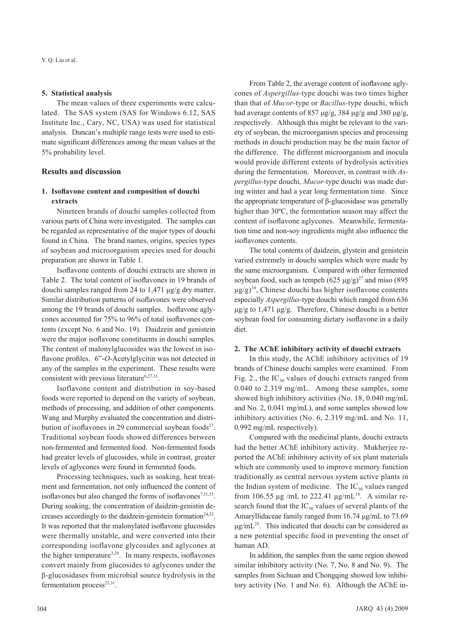#### **5. Statistical analysis**

The mean values of three experiments were calculated. The SAS system (SAS for Windows 6.12, SAS Institute Inc., Cary, NC, USA) was used for statistical analysis. Duncan's multiple range tests were used to estimate significant differences among the mean values at the 5% probability level.

# **Results and discussion**

# **1. Isoflavone content and composition of douchi extracts**

Nineteen brands of douchi samples collected from various parts of China were investigated. The samples can be regarded as representative of the major types of douchi found in China. The brand names, origins, species types of soybean and microorganism species used for douchi preparation are shown in Table 1.

Isoflavone contents of douchi extracts are shown in Table 2. The total content of isoflavones in 19 brands of douchi samples ranged from 24 to 1,471 μg/g dry matter. Similar distribution patterns of isoflavones were observed among the 19 brands of douchi samples. Isoflavone aglycones accounted for 75% to 96% of total isoflavones contents (except No. 6 and No. 19). Daidzein and genistein were the major isoflavone constituents in douchi samples. The content of malonylglucosides was the lowest in isoflavone profiles. 6"-*Ο*-Acetylglycitin was not detected in any of the samples in the experiment. These results were consistent with previous literature $6,27,31$ .

Isoflavone content and distribution in soy-based foods were reported to depend on the variety of soybean, methods of processing, and addition of other components. Wang and Murphy evaluated the concentration and distribution of isoflavones in 29 commercial soybean foods<sup>27</sup>. Traditional soybean foods showed differences between non-fermented and fermented food. Non-fermented foods had greater levels of glucosides, while in contrast, greater levels of aglycones were found in fermented foods.

Processing techniques, such as soaking, heat treatment and fermentation, not only influenced the content of isoflavones but also changed the forms of isoflavones $^{7,31,33}$ . During soaking, the concentration of daidzin-genistin decreases accordingly to the daidzein-genistein formation<sup> $24,32$ </sup>. It was reported that the malonylated isoflavone glucosides were thermally unstable, and were converted into their corresponding isoflavone glycosides and aglycones at the higher temperature<sup>3,28</sup>. In many respects, isoflavones convert mainly from glucosides to aglycones under the β-glucosidases from microbial source hydrolysis in the fermentation process $23,31$ .

From Table 2, the average content of isoflavone aglycones of *Aspergillus-*type douchi was two times higher than that of *Mucor-*type or *Bacillus-*type douchi, which had average contents of 857 μg/g, 384 μg/g and 380 μg/g, respectively. Although this might be relevant to the variety of soybean, the microorganism species and processing methods in douchi production may be the main factor of the difference. The different microorganism and inocula would provide different extents of hydrolysis activities during the fermentation. Moreover, in contrast with *Aspergillus-*type douchi, *Mucor-*type douchi was made during winter and had a year long fermentation time. Since the appropriate temperature of β-glucosidase was generally higher than 30ºC, the fermentation season may affect the content of isoflavone aglycones. Meanwhile, fermentation time and non-soy ingredients might also influence the isoflavones contents.

The total contents of daidzein, glystein and genistein varied extremely in douchi samples which were made by the same microorganism. Compared with other fermented soybean food, such as tempeh  $(625 \text{ µg/g})^{27}$  and miso (895)  $\mu$ g/g)<sup>34</sup>, Chinese douchi has higher isoflavone contents especially *Aspergillus-*type douchi which ranged from 636 μg/g to 1,471 μg/g. Therefore, Chinese douchi is a better soybean food for consuming dietary isoflavone in a daily diet.

## **2. The AChE inhibitory activity of douchi extracts**

In this study, the AChE inhibitory activities of 19 brands of Chinese douchi samples were examined. From Fig. 2., the  $IC_{50}$  values of douchi extracts ranged from 0.040 to 2.319 mg/mL. Among these samples, some showed high inhibitory activities (No. 18, 0.040 mg/mL and No. 2, 0.041 mg/mL), and some samples showed low inhibitory activities (No. 6, 2.319 mg/mL and No. 11, 0.992 mg/mL respectively).

Compared with the medicinal plants, douchi extracts had the better AChE inhibitory activity. Mukherjee reported the AChE inhibitory activity of six plant materials which are commonly used to improve memory function traditionally as central nervous system active plants in the Indian system of medicine. The  $IC_{50}$  values ranged from 106.55 μg /mL to 222.41 μg/mL<sup>16</sup>. A similar research found that the  $IC_{50}$  values of several plants of the Amaryllidaceae family ranged from 16.74 μg/mL to 73.69  $\mu$ g/mL<sup>25</sup>. This indicated that douchi can be considered as a new potential specific food in preventing the onset of human AD.

In addition, the samples from the same region showed similar inhibitory activity (No. 7, No. 8 and No. 9). The samples from Sichuan and Chongqing showed low inhibitory activity (No. 1 and No. 6). Although the AChE in-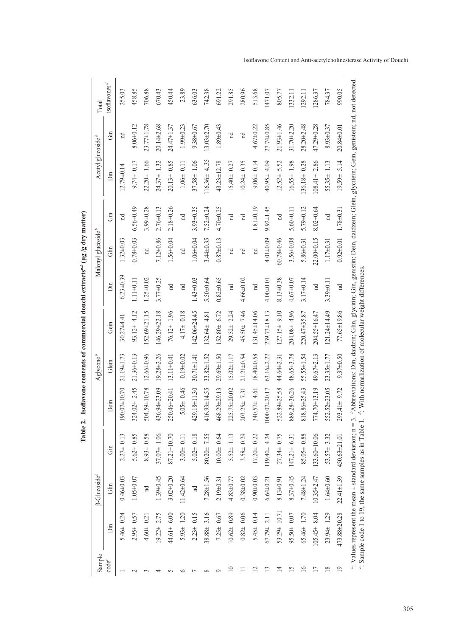| Sample          |                   | <b>B-Glucoside</b> <sup>b</sup> |                                                                                                                             |                     | Aglycone <sup>b</sup> |                                                                   |                 | Malonyl glucoside <sup>b</sup> |                 | Acetyl glucoside <sup>b</sup>                                                                                                                |                  | Total                    |
|-----------------|-------------------|---------------------------------|-----------------------------------------------------------------------------------------------------------------------------|---------------------|-----------------------|-------------------------------------------------------------------|-----------------|--------------------------------|-----------------|----------------------------------------------------------------------------------------------------------------------------------------------|------------------|--------------------------|
| $code^c$        | Din               | Glin                            | $\dim$                                                                                                                      | Dein                | Glein                 | Gein                                                              | Din             | Glin                           | Ġ'n             | Din                                                                                                                                          | Ġ'n              | isoflavones <sup>d</sup> |
|                 | $5.46 \pm 0.24$   | $0.46 \pm 0.03$                 | $2.27\pm 0.13$                                                                                                              | 190.07±10.70        | $21.19 \pm 1.73$      | $30.27 + 4.41$                                                    | $6.23 \pm 0.39$ | $1.32 \pm 0.03$                | $_{\rm nd}$     | $12.79 \pm 0.14$                                                                                                                             | 'n               | 255.03                   |
|                 | $2.95 \pm 0.57$   | $1.05 \pm 0.07$                 | $5.62 \pm 0.85$                                                                                                             | $324.02 \pm 2.45$   | 21.36±0.13            | $93.12 \pm 4.12$                                                  | $1.11 + 0.11$   | $0.78 + 0.03$                  | $6.56 \pm 0.49$ | $9.74 \pm 0.17$                                                                                                                              | $8.06 \pm 0.12$  | 458.85                   |
|                 | $4.60 \pm 0.21$   | $_{\rm nd}$                     | $8.93 \pm 0.58$                                                                                                             | 504.59±10.78        | $12.66 \pm 0.96$      | $152.69 \pm 21.15$                                                | $1.25 \pm 0.02$ | nd                             | $3.99 + 0.28$   | $22.20 \pm 1.66$                                                                                                                             | $23.77 \pm 1.78$ | 706.88                   |
|                 | $19.22 \pm 2.75$  | $1.39 \pm 0.45$                 | $37.07 \pm 1.06$                                                                                                            | 436.94±23.09        | $19.28 + 2.26$        | 146.29±22.18                                                      | $3.77 + 0.25$   | $7.12 \pm 0.86$                | $2.76 \pm 0.13$ | $24.37 \pm 1.32$                                                                                                                             | $20.14 \pm 2.68$ | 670.43                   |
|                 | $44.61 \pm 6.00$  | $3.02 + 0.20$                   | 87.21±10.70                                                                                                                 | 250.46±20.41        | $13.11 \pm 0.41$      | $76.12 \pm 1.96$                                                  | nd              | 1.56±0.04                      | $2.18 + 0.26$   | $20.13 \pm 0.85$                                                                                                                             | $24.47 \pm 1.37$ | 450.44                   |
|                 | $5.93 \pm 1.20$   | $11.42 \pm 0.64$                | $3.00 \pm 0.11$                                                                                                             | $5.05 \pm 0.46$     | $0.19 + 0.02$         | $4.17\pm 0.18$                                                    | $_{\rm nd}$     | nd                             | $_{\rm nd}$     | $1.06 \pm 0.11$                                                                                                                              | $1.99 + 0.23$    | 23.89                    |
|                 | $2.23 \pm 0.15$   | $_{\rm nd}$                     | $5.02 \pm 0.18$                                                                                                             | 429.18±11.30        | $30.71 \pm 1.41$      | 142.06±24.45                                                      | $1.43 + 0.03$   | $1.06 \pm 0.04$                | $3.93 \pm 0.35$ | $37.58 \pm 1.06$                                                                                                                             | $9.38 \pm 0.67$  | 636.03                   |
|                 | $38.88 \pm 3.16$  | $7.28 \pm 1.56$                 | $80.20 \pm 7.55$                                                                                                            | 416.93±14.55        | $33.82 \pm 1.52$      | $132.64 \pm 4.81$                                                 | $5.50 + 0.64$   | 3.44±0.35                      | $7.52 \pm 0.24$ | $116.36 \pm 4.35$                                                                                                                            | $13.03 + 2.70$   | 742.38                   |
|                 | $7.25 \pm 0.67$   | $2.19 \pm 0.31$                 | $10.00 + 0.64$                                                                                                              | 468.29±29.13        | 29.69±1.50            | $152.80 \pm 6.72$                                                 | $0.82 + 0.65$   | $0.87 + 0.13$                  | $4.70 + 0.25$   | $43.23 \pm 12.78$                                                                                                                            | $1.89 + 0.43$    | 691.22                   |
| $\supseteq$     | $10.62 \pm 0.89$  | $4.83 + 0.77$                   | $5.52 \pm 1.13$                                                                                                             | 225.75±20.02        | $15.02 \pm 1.17$      | $29.52 \pm 2.24$                                                  | $_{\rm nd}$     | $\mathbb{R}^n$                 | $\mathbb{R}$    | $15.40 \pm 0.27$                                                                                                                             | 'n               | 291.85                   |
|                 | $0.82 \pm 0.06$   | $0.38 + 0.02$                   | $3.58 \pm 0.29$                                                                                                             | $203.25 \pm 7.31$   | $21.21 \pm 0.54$      | $45.50 \pm 7.46$                                                  | $4.66 + 0.02$   | $_{\rm nd}$                    | $_{\rm nd}$     | $10.24 \pm 0.35$                                                                                                                             | Ĕ                | 280.96                   |
| $\Xi$           | $5.45 \pm 0.14$   | $0.90 + 0.03$                   | $17.20 \pm 0.22$                                                                                                            | $340.57 \pm 4.61$   | $18.40 \pm 0.58$      | $131.45 \pm 14.06$                                                | nd              | nd                             | 0.140119        | $9.06 \pm 0.14$                                                                                                                              | $4.67 + 0.22$    | 513.68                   |
| $\Xi$           | $67.79 \pm 2.11$  | $6.64 \pm 0.21$                 | $119.40 \pm 4.24$                                                                                                           | $1000.07 \pm 20.17$ | 63.16±2.22            | 239.73±18.13                                                      | $4.00 + 0.01$   | $4.01 + 0.09$                  | $9.92 \pm 1.45$ | $40.95 \pm 4.09$                                                                                                                             | 27.74±0.85       | 1471.07                  |
| $\overline{4}$  | 53.29± 10.71      | $8.13 \pm 0.91$                 | $27.34 \pm 0.75$                                                                                                            | 522.89±25.58        | 44.64±2.31            | $127.15 \pm 9.10$                                                 | $8.13 + 0.38$   | $60.78 + 0.46$                 | $_{\rm nd}$     | 5.52<br>$12.52 \pm$                                                                                                                          | $21.93 \pm 1.46$ | 805.77                   |
| 51              | $95.50 \pm 0.07$  | $8.37 + 0.45$                   | $147.21 \pm 6.31$                                                                                                           | 889.28±36.26        | 48.65±3.78            | $204.08 \pm 4.96$                                                 | $4.67 + 0.07$   | 3.56±0.08                      | $5.60 \pm 0.11$ | $16.55 \pm 1.98$                                                                                                                             | $31.70 + 2.20$   | 1332.11                  |
| $\geq$          | 65.46± 1.70       | $7.48 \pm 1.24$                 | $85.05 \pm 0.88$                                                                                                            | 818.86±25.43        | 55.55±1.54            | 220.47±35.87                                                      | $3.17 + 0.14$   | 5.86±0.31                      | $5.79 \pm 0.12$ | 136.18± 0.28                                                                                                                                 | $28.20 + 2.48$   | 1292.11                  |
| $\overline{17}$ | $105.45 \pm 8.04$ | $10.35 + 2.47$                  | 133.60±10.06                                                                                                                | 774.70±13.19        | 49.67±2.13            | 204.55±16.47                                                      | $_{\rm nd}$     | $22.00 \pm 0.15$               | $8.02 \pm 0.64$ | 2.86<br>$108.41 \pm$                                                                                                                         | 47.29±0.28       | 1286.37                  |
| $\frac{8}{18}$  | $23.94 \pm 1.29$  | $1.64 \pm 0.60$                 | $53.57 \pm 3.32$                                                                                                            | 552.52±23.05        | $23.35 \pm 1.77$      | $121.24 \pm 14.49$                                                | 3.39±0.11       | $1.17+0.31$                    | $_{\rm nd}$     | $55.35 \pm 1.13$                                                                                                                             | $8.93 \pm 0.37$  | 784.37                   |
| $\overline{19}$ | 473.88±20.28      | $22.41 \pm 1.39$                | 450.63±21.01                                                                                                                | $293.41 \pm 9.72$   | $9.37 \pm 0.50$       | 77.65±19.86                                                       | $_{\rm nd}$     | $0.92 \pm 0.01$                | $1.78 + 0.31$   | 5.14<br>19.59±                                                                                                                               | $20.84 \pm 0.01$ | 990.05                   |
|                 |                   |                                 | ": Values represent the mean $\pm$ standard deviation; $n = 3$ .<br>": Sample code 1 to 19, the same samples as in Table 1. |                     |                       | <sup>d</sup> : With normalization of molecular weight differences |                 |                                |                 | <sup>b</sup> Abbreviations: Din, daidzin; Glin, glycitin; Gin, genistin; Dein, daidzein; Glein, glycitein; Gein, genistein; nd, not detected |                  |                          |

Table 2. Isoflavone contents of commercial douchi extracts<sup> $ab$ </sup> ( $\mu$ g /g dry matter) **Table 2. Isoflavone contents of commercial douchi extracts<sup>***ab***</sup> (μg/g dry matter)** 

Isoflavone Content and Anti-acetylcholinesterase Activity of Douch i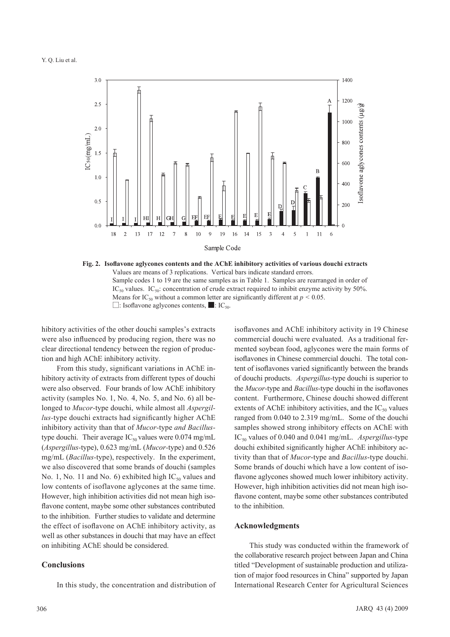#### Y. Q. Liu et al.





hibitory activities of the other douchi samples's extracts were also influenced by producing region, there was no clear directional tendency between the region of production and high AChE inhibitory activity.

From this study, significant variations in AChE inhibitory activity of extracts from different types of douchi were also observed. Four brands of low AChE inhibitory activity (samples No. 1, No. 4, No. 5, and No. 6) all belonged to *Mucor-*type douchi, while almost all *Aspergillus-*type douchi extracts had significantly higher AChE inhibitory activity than that of *Mucor-*type *and Bacillus*type douchi. Their average  $IC_{50}$  values were 0.074 mg/mL (*Aspergillus-*type), 0.623 mg/mL (*Mucor-*type) and 0.526 mg/mL (*Bacillus-*type), respectively. In the experiment, we also discovered that some brands of douchi (samples No. 1, No. 11 and No. 6) exhibited high  $IC_{50}$  values and low contents of isoflavone aglycones at the same time. However, high inhibition activities did not mean high isoflavone content, maybe some other substances contributed to the inhibition. Further studies to validate and determine the effect of isoflavone on AChE inhibitory activity, as well as other substances in douchi that may have an effect on inhibiting AChE should be considered.

## **Conclusions**

In this study, the concentration and distribution of

isoflavones and AChE inhibitory activity in 19 Chinese commercial douchi were evaluated. As a traditional fermented soybean food, aglycones were the main forms of isoflavones in Chinese commercial douchi. The total content of isoflavones varied significantly between the brands of douchi products. *Aspergillus-*type douchi is superior to the *Mucor-*type and *Bacillus-*type douchi in the isoflavones content. Furthermore, Chinese douchi showed different extents of AChE inhibitory activities, and the  $IC_{50}$  values ranged from 0.040 to 2.319 mg/mL. Some of the douchi samples showed strong inhibitory effects on AChE with IC50 values of 0.040 and 0.041 mg/mL. *Aspergillus*-type douchi exhibited significantly higher AChE inhibitory activity than that of *Mucor*-type and *Bacillus*-type douchi. Some brands of douchi which have a low content of isoflavone aglycones showed much lower inhibitory activity. However, high inhibition activities did not mean high isoflavone content, maybe some other substances contributed to the inhibition.

#### **Acknowledgments**

This study was conducted within the framework of the collaborative research project between Japan and China titled "Development of sustainable production and utilization of major food resources in China" supported by Japan International Research Center for Agricultural Sciences